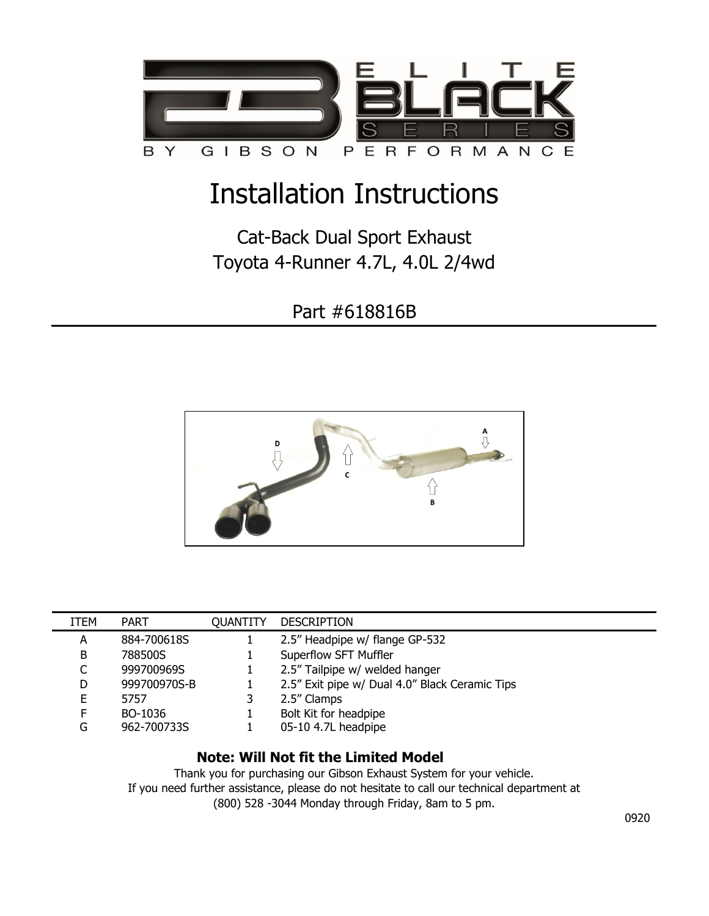

## Installation Instructions

Cat-Back Dual Sport Exhaust Toyota 4-Runner 4.7L, 4.0L 2/4wd

Part #618816B



| ITEM | <b>PART</b>  | <b>OUANTITY</b> | <b>DESCRIPTION</b>                             |
|------|--------------|-----------------|------------------------------------------------|
| A    | 884-700618S  |                 | 2.5" Headpipe w/ flange GP-532                 |
| B    | 788500S      |                 | Superflow SFT Muffler                          |
|      | 999700969S   |                 | 2.5" Tailpipe w/ welded hanger                 |
| D.   | 999700970S-B |                 | 2.5" Exit pipe w/ Dual 4.0" Black Ceramic Tips |
| E.   | 5757         |                 | 2.5" Clamps                                    |
| F.   | BO-1036      |                 | Bolt Kit for headpipe                          |
| G    | 962-700733S  |                 | 05-10 4.7L headpipe                            |

## **Note: Will Not fit the Limited Model**

Thank you for purchasing our Gibson Exhaust System for your vehicle. If you need further assistance, please do not hesitate to call our technical department at (800) 528 -3044 Monday through Friday, 8am to 5 pm.